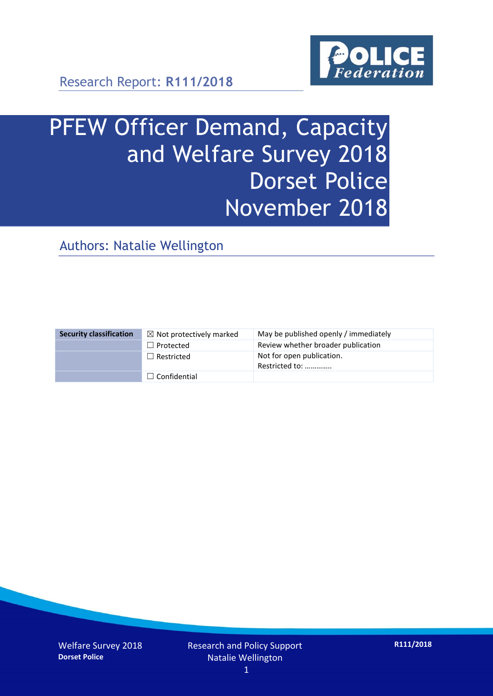

# PFEW Officer Demand, Capacity and Welfare Survey 2018 Dorset Police November 2018

Authors: Natalie Wellington

| <b>Security classification</b> | $\boxtimes$ Not protectively marked | May be published openly / immediately       |
|--------------------------------|-------------------------------------|---------------------------------------------|
|                                | $\Box$ Protected                    | Review whether broader publication          |
|                                | $\Box$ Restricted                   | Not for open publication.<br>Restricted to: |
|                                | $\Box$ Confidential                 |                                             |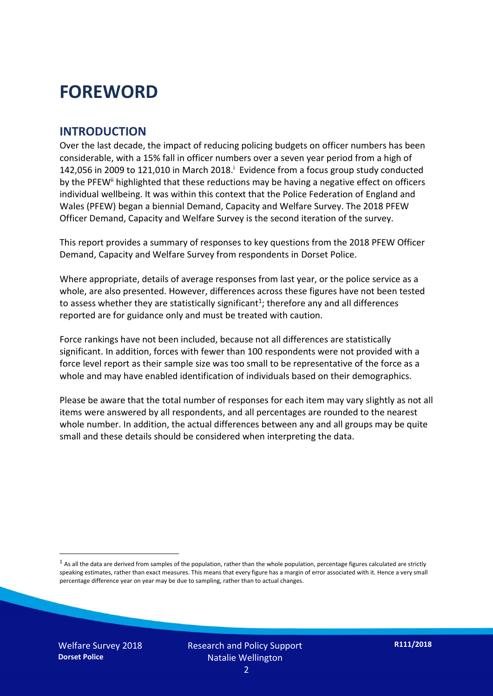## **FOREWORD**

#### **INTRODUCTION**

Over the last decade, the impact of reducing policing budgets on officer numbers has been considerable, with a 15% fall in officer numbers over a seven year period from a high of 142,056 in 2009 to 121,010 in March 2018. $^{\mathrm{i}}$  Evidence from a focus group study conducted by the PFEW<sup>ii</sup> highlighted that these reductions may be having a negative effect on officers individual wellbeing. It was within this context that the Police Federation of England and Wales (PFEW) began a biennial Demand, Capacity and Welfare Survey. The 2018 PFEW Officer Demand, Capacity and Welfare Survey is the second iteration of the survey.

This report provides a summary of responses to key questions from the 2018 PFEW Officer Demand, Capacity and Welfare Survey from respondents in Dorset Police.

Where appropriate, details of average responses from last year, or the police service as a whole, are also presented. However, differences across these figures have not been tested to assess whether they are statistically significant<sup>1</sup>; therefore any and all differences reported are for guidance only and must be treated with caution.

Force rankings have not been included, because not all differences are statistically significant. In addition, forces with fewer than 100 respondents were not provided with a force level report as their sample size was too small to be representative of the force as a whole and may have enabled identification of individuals based on their demographics.

Please be aware that the total number of responses for each item may vary slightly as not all items were answered by all respondents, and all percentages are rounded to the nearest whole number. In addition, the actual differences between any and all groups may be quite small and these details should be considered when interpreting the data.

-

 $<sup>1</sup>$  As all the data are derived from samples of the population, rather than the whole population, percentage figures calculated are strictly</sup> speaking estimates, rather than exact measures. This means that every figure has a margin of error associated with it. Hence a very small percentage difference year on year may be due to sampling, rather than to actual changes.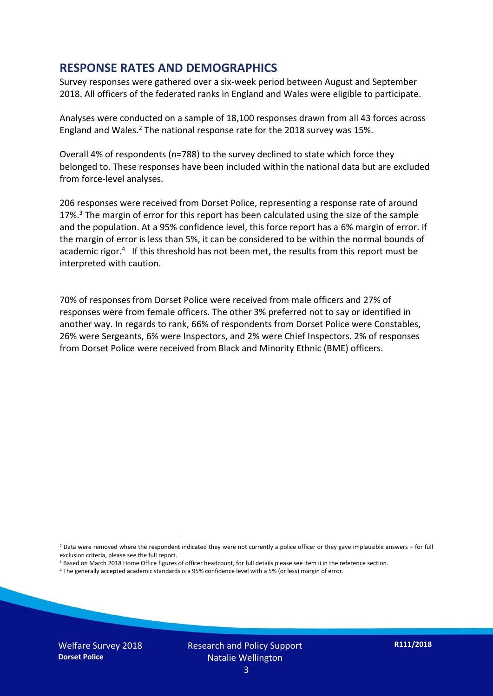#### **RESPONSE RATES AND DEMOGRAPHICS**

Survey responses were gathered over a six-week period between August and September 2018. All officers of the federated ranks in England and Wales were eligible to participate.

Analyses were conducted on a sample of 18,100 responses drawn from all 43 forces across England and Wales.<sup>2</sup> The national response rate for the 2018 survey was 15%.

Overall 4% of respondents (n=788) to the survey declined to state which force they belonged to. These responses have been included within the national data but are excluded from force-level analyses.

206 responses were received from Dorset Police, representing a response rate of around 17%.<sup>3</sup> The margin of error for this report has been calculated using the size of the sample and the population. At a 95% confidence level, this force report has a 6% margin of error. If the margin of error is less than 5%, it can be considered to be within the normal bounds of academic rigor.<sup>4</sup> If this threshold has not been met, the results from this report must be interpreted with caution.

70% of responses from Dorset Police were received from male officers and 27% of responses were from female officers. The other 3% preferred not to say or identified in another way. In regards to rank, 66% of respondents from Dorset Police were Constables, 26% were Sergeants, 6% were Inspectors, and 2% were Chief Inspectors. 2% of responses from Dorset Police were received from Black and Minority Ethnic (BME) officers.

- <sup>3</sup> Based on March 2018 Home Office figures of officer headcount, for full details please see item ii in the reference section.
- <sup>4</sup> The generally accepted academic standards is a 95% confidence level with a 5% (or less) margin of error.

-

 $2$  Data were removed where the respondent indicated they were not currently a police officer or they gave implausible answers – for full exclusion criteria, please see the full report.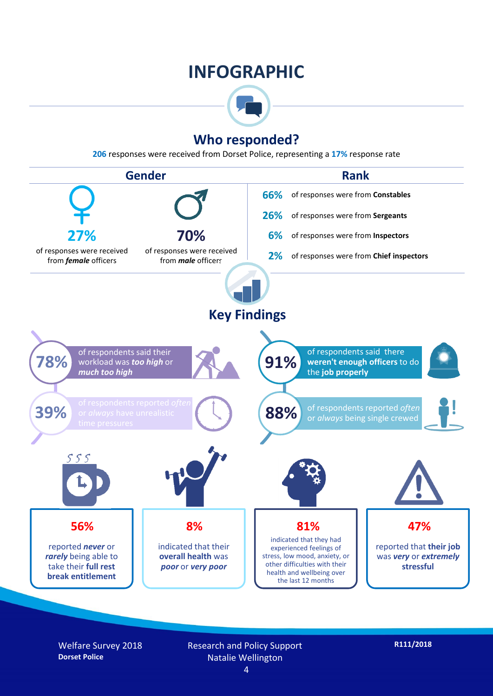## **INFOGRAPHIC**



### **Who responded?**

**206** responses were received from Dorset Police, representing a **17%** response rate



Welfare Survey 2018 **Dorset Police**

Research and Policy Support Natalie Wellington

**R111/2018**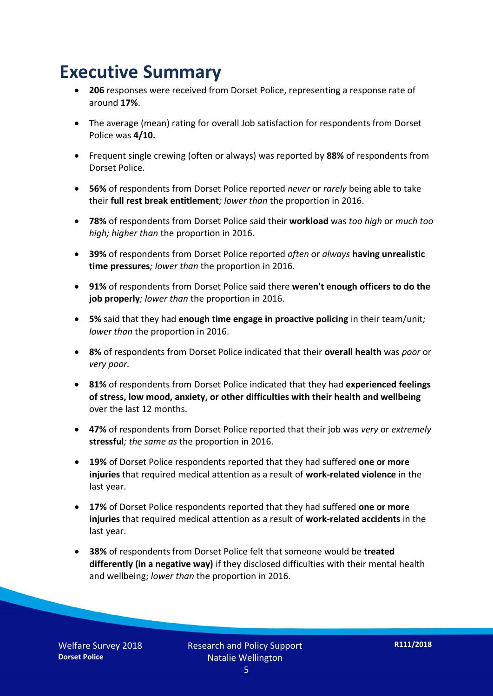## **Executive Summary**

- **206** responses were received from Dorset Police, representing a response rate of around **17%**.
- The average (mean) rating for overall Job satisfaction for respondents from Dorset Police was **4/10.**
- Frequent single crewing (often or always) was reported by **88%** of respondents from Dorset Police.
- **56%** of respondents from Dorset Police reported *never* or *rarely* being able to take their **full rest break entitlement***; lower than* the proportion in 2016.
- **78%** of respondents from Dorset Police said their **workload** was *too high* or *much too high; higher than* the proportion in 2016.
- **39%** of respondents from Dorset Police reported *often* or *always* **having unrealistic time pressures***; lower than* the proportion in 2016.
- **91%** of respondents from Dorset Police said there **weren't enough officers to do the job properly***; lower than* the proportion in 2016.
- **5%** said that they had **enough time engage in proactive policing** in their team/unit*; lower than* the proportion in 2016.
- **8%** of respondents from Dorset Police indicated that their **overall health** was *poor* or *very poor.*
- **81%** of respondents from Dorset Police indicated that they had **experienced feelings of stress, low mood, anxiety, or other difficulties with their health and wellbeing** over the last 12 months.
- **47%** of respondents from Dorset Police reported that their job was *very* or *extremely*  **stressful***; the same as* the proportion in 2016.
- **19%** of Dorset Police respondents reported that they had suffered **one or more injuries** that required medical attention as a result of **work-related violence** in the last year.
- **17%** of Dorset Police respondents reported that they had suffered **one or more injuries** that required medical attention as a result of **work-related accidents** in the last year.
- **38%** of respondents from Dorset Police felt that someone would be **treated differently (in a negative way)** if they disclosed difficulties with their mental health and wellbeing; *lower than* the proportion in 2016.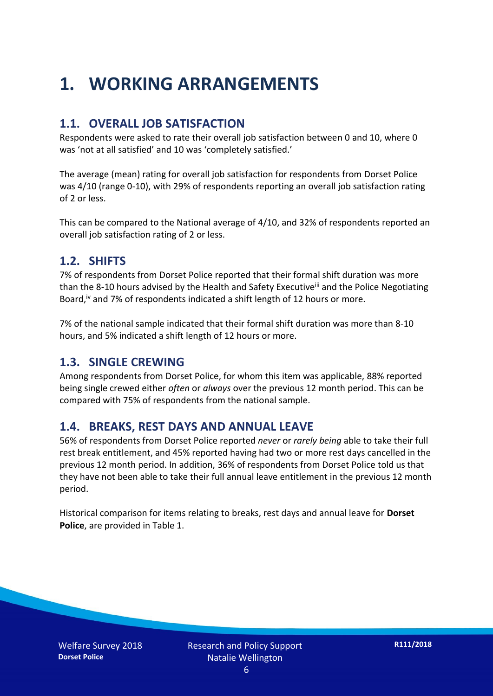## **1. WORKING ARRANGEMENTS**

#### **1.1. OVERALL JOB SATISFACTION**

Respondents were asked to rate their overall job satisfaction between 0 and 10, where 0 was 'not at all satisfied' and 10 was 'completely satisfied.'

The average (mean) rating for overall job satisfaction for respondents from Dorset Police was 4/10 (range 0-10), with 29% of respondents reporting an overall job satisfaction rating of 2 or less.

This can be compared to the National average of 4/10, and 32% of respondents reported an overall job satisfaction rating of 2 or less.

#### **1.2. SHIFTS**

7% of respondents from Dorset Police reported that their formal shift duration was more than the 8-10 hours advised by the Health and Safety Executive<sup>iii</sup> and the Police Negotiating Board,<sup>iv</sup> and 7% of respondents indicated a shift length of 12 hours or more.

7% of the national sample indicated that their formal shift duration was more than 8-10 hours, and 5% indicated a shift length of 12 hours or more.

#### **1.3. SINGLE CREWING**

Among respondents from Dorset Police, for whom this item was applicable, 88% reported being single crewed either *often* or *always* over the previous 12 month period. This can be compared with 75% of respondents from the national sample.

#### **1.4. BREAKS, REST DAYS AND ANNUAL LEAVE**

56% of respondents from Dorset Police reported *never* or *rarely being* able to take their full rest break entitlement, and 45% reported having had two or more rest days cancelled in the previous 12 month period. In addition, 36% of respondents from Dorset Police told us that they have not been able to take their full annual leave entitlement in the previous 12 month period.

Historical comparison for items relating to breaks, rest days and annual leave for **Dorset Police**, are provided in Table 1.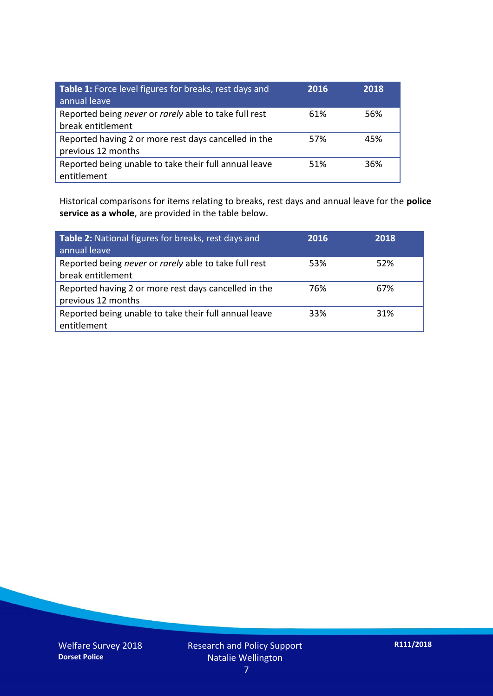| Table 1: Force level figures for breaks, rest days and<br>annual leave     | 2016 | 2018 |
|----------------------------------------------------------------------------|------|------|
| Reported being never or rarely able to take full rest<br>break entitlement | 61%  | 56%  |
| Reported having 2 or more rest days cancelled in the<br>previous 12 months | 57%  | 45%  |
| Reported being unable to take their full annual leave<br>entitlement       | 51%  | 36%  |

Historical comparisons for items relating to breaks, rest days and annual leave for the **police service as a whole**, are provided in the table below.

| Table 2: National figures for breaks, rest days and<br>annual leave        | 2016 | 2018 |
|----------------------------------------------------------------------------|------|------|
| Reported being never or rarely able to take full rest<br>break entitlement | 53%  | 52%  |
| Reported having 2 or more rest days cancelled in the<br>previous 12 months | 76%  | 67%  |
| Reported being unable to take their full annual leave<br>entitlement       | 33%  | 31%  |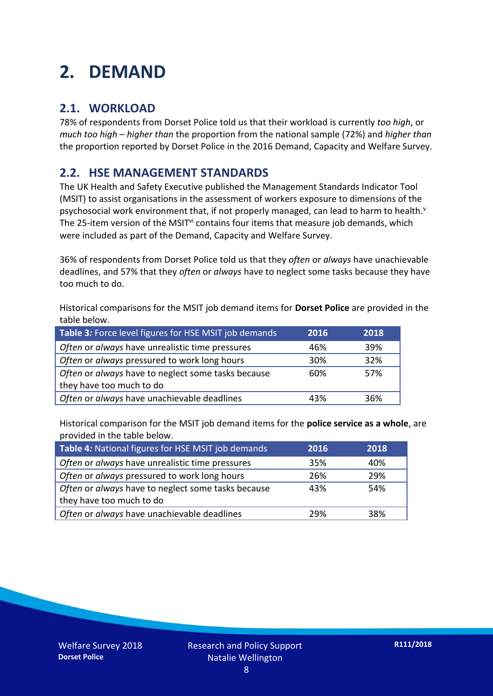## **2. DEMAND**

### **2.1. WORKLOAD**

78% of respondents from Dorset Police told us that their workload is currently *too high*, or *much too high* – *higher than* the proportion from the national sample (72%) and *higher than* the proportion reported by Dorset Police in the 2016 Demand, Capacity and Welfare Survey.

### **2.2. HSE MANAGEMENT STANDARDS**

The UK Health and Safety Executive published the Management Standards Indicator Tool (MSIT) to assist organisations in the assessment of workers exposure to dimensions of the psychosocial work environment that, if not properly managed, can lead to harm to health.<sup>v</sup> The 25-item version of the MSIT<sup>vi</sup> contains four items that measure job demands, which were included as part of the Demand, Capacity and Welfare Survey.

36% of respondents from Dorset Police told us that they *often* or *always* have unachievable deadlines, and 57% that they *often* or *always* have to neglect some tasks because they have too much to do.

Historical comparisons for the MSIT job demand items for **Dorset Police** are provided in the table below.

| Table 3: Force level figures for HSE MSIT job demands | 2016 | 2018 |
|-------------------------------------------------------|------|------|
| Often or always have unrealistic time pressures       | 46%  | 39%  |
| Often or always pressured to work long hours          | 30%  | 32%  |
| Often or always have to neglect some tasks because    | 60%  | 57%  |
| they have too much to do                              |      |      |
| Often or always have unachievable deadlines           | 43%  | 36%  |

Historical comparison for the MSIT job demand items for the **police service as a whole**, are provided in the table below.

| Table 4: National figures for HSE MSIT job demands | 2016 | 2018 |
|----------------------------------------------------|------|------|
| Often or always have unrealistic time pressures    | 35%  | 40%  |
| Often or always pressured to work long hours       | 26%  | 29%  |
| Often or always have to neglect some tasks because | 43%  | 54%  |
| they have too much to do                           |      |      |
| Often or always have unachievable deadlines        | 29%  | 38%  |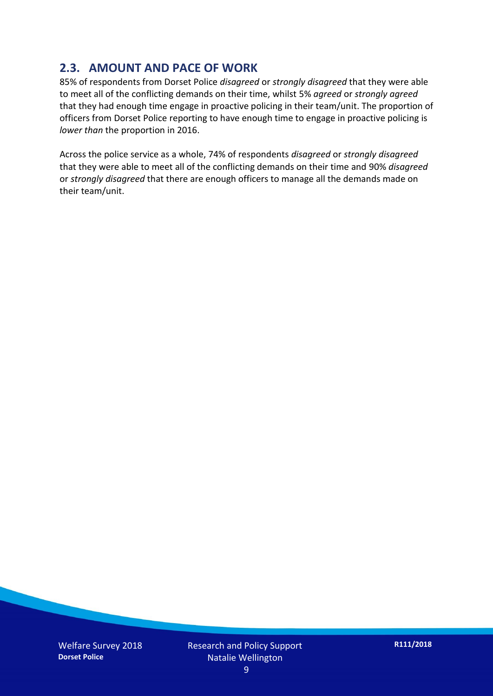### **2.3. AMOUNT AND PACE OF WORK**

85% of respondents from Dorset Police *disagreed* or *strongly disagreed* that they were able to meet all of the conflicting demands on their time, whilst 5% *agreed* or *strongly agreed* that they had enough time engage in proactive policing in their team/unit. The proportion of officers from Dorset Police reporting to have enough time to engage in proactive policing is *lower than* the proportion in 2016.

Across the police service as a whole, 74% of respondents *disagreed* or *strongly disagreed* that they were able to meet all of the conflicting demands on their time and 90% *disagreed* or *strongly disagreed* that there are enough officers to manage all the demands made on their team/unit.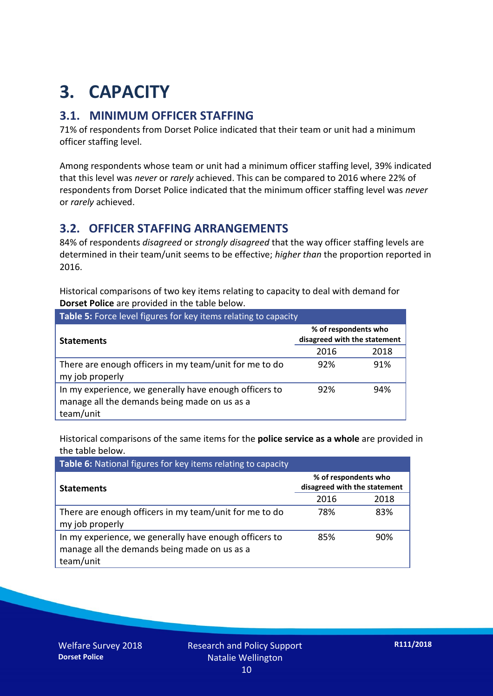## **3. CAPACITY**

### **3.1. MINIMUM OFFICER STAFFING**

71% of respondents from Dorset Police indicated that their team or unit had a minimum officer staffing level.

Among respondents whose team or unit had a minimum officer staffing level, 39% indicated that this level was *never* or *rarely* achieved. This can be compared to 2016 where 22% of respondents from Dorset Police indicated that the minimum officer staffing level was *never* or *rarely* achieved.

### **3.2. OFFICER STAFFING ARRANGEMENTS**

84% of respondents *disagreed* or *strongly disagreed* that the way officer staffing levels are determined in their team/unit seems to be effective; *higher than* the proportion reported in 2016.

Historical comparisons of two key items relating to capacity to deal with demand for **Dorset Police** are provided in the table below.

| Table 5: Force level figures for key items relating to capacity                                                     |                                                      |      |  |
|---------------------------------------------------------------------------------------------------------------------|------------------------------------------------------|------|--|
| <b>Statements</b>                                                                                                   | % of respondents who<br>disagreed with the statement |      |  |
|                                                                                                                     | 2016                                                 | 2018 |  |
| There are enough officers in my team/unit for me to do<br>my job properly                                           | 92%                                                  | 91%  |  |
| In my experience, we generally have enough officers to<br>manage all the demands being made on us as a<br>team/unit | 92%                                                  | 94%  |  |

Historical comparisons of the same items for the **police service as a whole** are provided in the table below.

| Table 6: National figures for key items relating to capacity                                                        |                                                      |      |  |  |
|---------------------------------------------------------------------------------------------------------------------|------------------------------------------------------|------|--|--|
| <b>Statements</b>                                                                                                   | % of respondents who<br>disagreed with the statement |      |  |  |
|                                                                                                                     | 2016                                                 | 2018 |  |  |
| There are enough officers in my team/unit for me to do<br>my job properly                                           | 78%                                                  | 83%  |  |  |
| In my experience, we generally have enough officers to<br>manage all the demands being made on us as a<br>team/unit | 85%                                                  | 90%  |  |  |

Welfare Survey 2018 **Dorset Police**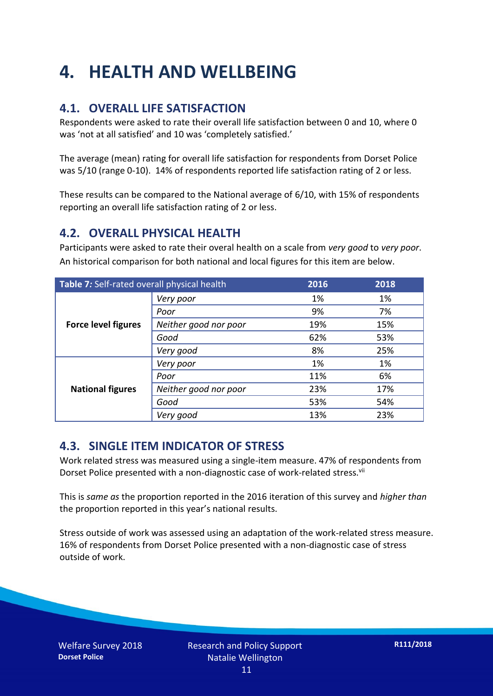## **4. HEALTH AND WELLBEING**

### **4.1. OVERALL LIFE SATISFACTION**

Respondents were asked to rate their overall life satisfaction between 0 and 10, where 0 was 'not at all satisfied' and 10 was 'completely satisfied.'

The average (mean) rating for overall life satisfaction for respondents from Dorset Police was 5/10 (range 0-10). 14% of respondents reported life satisfaction rating of 2 or less.

These results can be compared to the National average of 6/10, with 15% of respondents reporting an overall life satisfaction rating of 2 or less.

#### **4.2. OVERALL PHYSICAL HEALTH**

Participants were asked to rate their overal health on a scale from *very good* to *very poor*. An historical comparison for both national and local figures for this item are below.

| Table 7: Self-rated overall physical health |                       | 2016 | 2018 |
|---------------------------------------------|-----------------------|------|------|
| <b>Force level figures</b>                  | Very poor             | 1%   | 1%   |
|                                             | Poor                  | 9%   | 7%   |
|                                             | Neither good nor poor | 19%  | 15%  |
|                                             | Good                  | 62%  | 53%  |
|                                             | Very good             | 8%   | 25%  |
| <b>National figures</b>                     | Very poor             | 1%   | 1%   |
|                                             | Poor                  | 11%  | 6%   |
|                                             | Neither good nor poor | 23%  | 17%  |
|                                             | Good                  | 53%  | 54%  |
|                                             | Very good             | 13%  | 23%  |

#### **4.3. SINGLE ITEM INDICATOR OF STRESS**

Work related stress was measured using a single-item measure. 47% of respondents from Dorset Police presented with a non-diagnostic case of work-related stress.<sup>vii</sup>

This is *same as* the proportion reported in the 2016 iteration of this survey and *higher than* the proportion reported in this year's national results.

Stress outside of work was assessed using an adaptation of the work-related stress measure. 16% of respondents from Dorset Police presented with a non-diagnostic case of stress outside of work.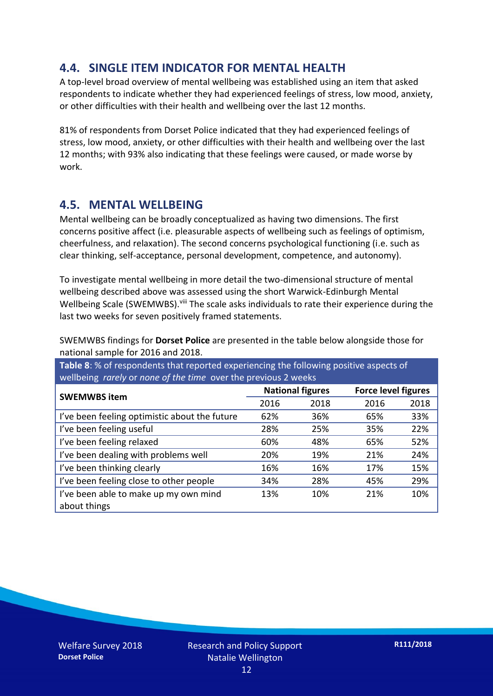### **4.4. SINGLE ITEM INDICATOR FOR MENTAL HEALTH**

A top-level broad overview of mental wellbeing was established using an item that asked respondents to indicate whether they had experienced feelings of stress, low mood, anxiety, or other difficulties with their health and wellbeing over the last 12 months.

81% of respondents from Dorset Police indicated that they had experienced feelings of stress, low mood, anxiety, or other difficulties with their health and wellbeing over the last 12 months; with 93% also indicating that these feelings were caused, or made worse by work.

#### **4.5. MENTAL WELLBEING**

Mental wellbeing can be broadly conceptualized as having two dimensions. The first concerns positive affect (i.e. pleasurable aspects of wellbeing such as feelings of optimism, cheerfulness, and relaxation). The second concerns psychological functioning (i.e. such as clear thinking, self-acceptance, personal development, competence, and autonomy).

To investigate mental wellbeing in more detail the two-dimensional structure of mental wellbeing described above was assessed using the short Warwick-Edinburgh Mental Wellbeing Scale (SWEMWBS). viii The scale asks individuals to rate their experience during the last two weeks for seven positively framed statements.

SWEMWBS findings for **Dorset Police** are presented in the table below alongside those for national sample for 2016 and 2018.

**Table 8**: % of respondents that reported experiencing the following positive aspects of wellbeing *rarely* or *none of the time* over the previous 2 weeks

| <b>SWEMWBS item</b>                           | <b>National figures</b> |      | <b>Force level figures</b> |      |
|-----------------------------------------------|-------------------------|------|----------------------------|------|
|                                               | 2016                    | 2018 | 2016                       | 2018 |
| I've been feeling optimistic about the future | 62%                     | 36%  | 65%                        | 33%  |
| I've been feeling useful                      | 28%                     | 25%  | 35%                        | 22%  |
| I've been feeling relaxed                     | 60%                     | 48%  | 65%                        | 52%  |
| I've been dealing with problems well          | 20%                     | 19%  | 21%                        | 24%  |
| I've been thinking clearly                    | 16%                     | 16%  | 17%                        | 15%  |
| I've been feeling close to other people       | 34%                     | 28%  | 45%                        | 29%  |
| I've been able to make up my own mind         | 13%                     | 10%  | 21%                        | 10%  |
| about things                                  |                         |      |                            |      |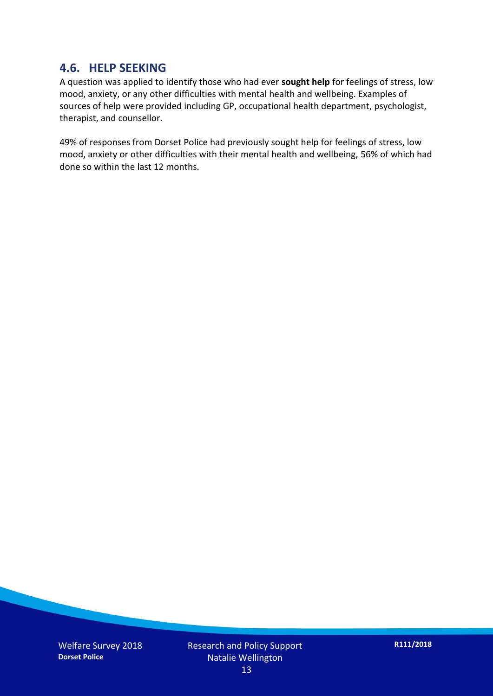#### **4.6. HELP SEEKING**

A question was applied to identify those who had ever **sought help** for feelings of stress, low mood, anxiety, or any other difficulties with mental health and wellbeing. Examples of sources of help were provided including GP, occupational health department, psychologist, therapist, and counsellor.

49% of responses from Dorset Police had previously sought help for feelings of stress, low mood, anxiety or other difficulties with their mental health and wellbeing, 56% of which had done so within the last 12 months.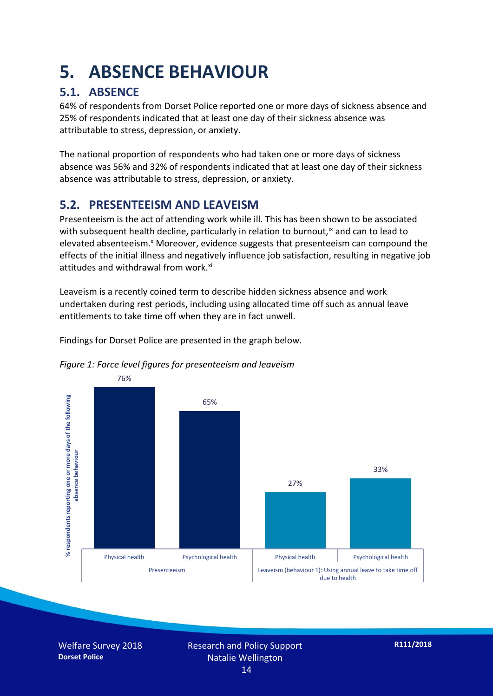## **5. ABSENCE BEHAVIOUR**

### **5.1. ABSENCE**

64% of respondents from Dorset Police reported one or more days of sickness absence and 25% of respondents indicated that at least one day of their sickness absence was attributable to stress, depression, or anxiety.

The national proportion of respondents who had taken one or more days of sickness absence was 56% and 32% of respondents indicated that at least one day of their sickness absence was attributable to stress, depression, or anxiety.

### **5.2. PRESENTEEISM AND LEAVEISM**

Presenteeism is the act of attending work while ill. This has been shown to be associated with subsequent health decline, particularly in relation to burnout,  $\alpha$  and can to lead to elevated absenteeism.<sup>x</sup> Moreover, evidence suggests that presenteeism can compound the effects of the initial illness and negatively influence job satisfaction, resulting in negative job attitudes and withdrawal from work.<sup>xi</sup>

Leaveism is a recently coined term to describe hidden sickness absence and work undertaken during rest periods, including using allocated time off such as annual leave entitlements to take time off when they are in fact unwell.

Findings for Dorset Police are presented in the graph below.





Welfare Survey 2018 **Dorset Police**

Research and Policy Support Natalie Wellington 14

**R111/2018**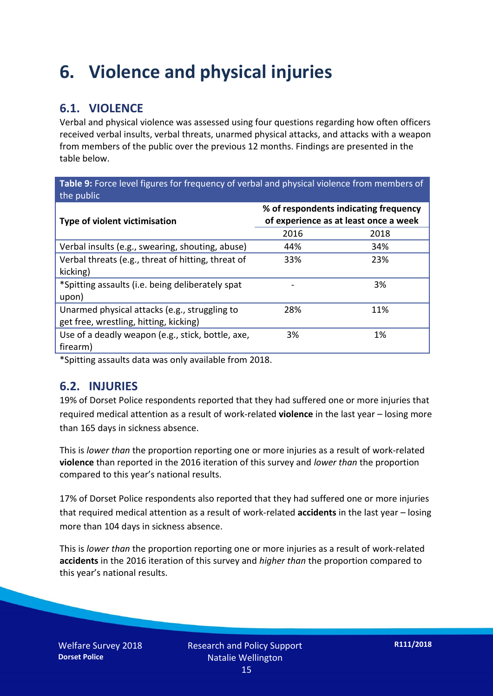## **6. Violence and physical injuries**

### **6.1. VIOLENCE**

Verbal and physical violence was assessed using four questions regarding how often officers received verbal insults, verbal threats, unarmed physical attacks, and attacks with a weapon from members of the public over the previous 12 months. Findings are presented in the table below.

**Table 9:** Force level figures for frequency of verbal and physical violence from members of the public

| <b>Type of violent victimisation</b>               | % of respondents indicating frequency<br>of experience as at least once a week |      |  |
|----------------------------------------------------|--------------------------------------------------------------------------------|------|--|
|                                                    | 2016                                                                           | 2018 |  |
| Verbal insults (e.g., swearing, shouting, abuse)   | 44%                                                                            | 34%  |  |
| Verbal threats (e.g., threat of hitting, threat of | 33%                                                                            | 23%  |  |
| kicking)                                           |                                                                                |      |  |
| *Spitting assaults (i.e. being deliberately spat   |                                                                                | 3%   |  |
| upon)                                              |                                                                                |      |  |
| Unarmed physical attacks (e.g., struggling to      | 28%                                                                            | 11%  |  |
| get free, wrestling, hitting, kicking)             |                                                                                |      |  |
| Use of a deadly weapon (e.g., stick, bottle, axe,  | 3%                                                                             | 1%   |  |
| firearm)                                           |                                                                                |      |  |

\*Spitting assaults data was only available from 2018.

#### **6.2. INJURIES**

19% of Dorset Police respondents reported that they had suffered one or more injuries that required medical attention as a result of work-related **violence** in the last year – losing more than 165 days in sickness absence.

This is *lower than* the proportion reporting one or more injuries as a result of work-related **violence** than reported in the 2016 iteration of this survey and *lower than* the proportion compared to this year's national results.

17% of Dorset Police respondents also reported that they had suffered one or more injuries that required medical attention as a result of work-related **accidents** in the last year – losing more than 104 days in sickness absence.

This is *lower than* the proportion reporting one or more injuries as a result of work-related **accidents** in the 2016 iteration of this survey and *higher than* the proportion compared to this year's national results.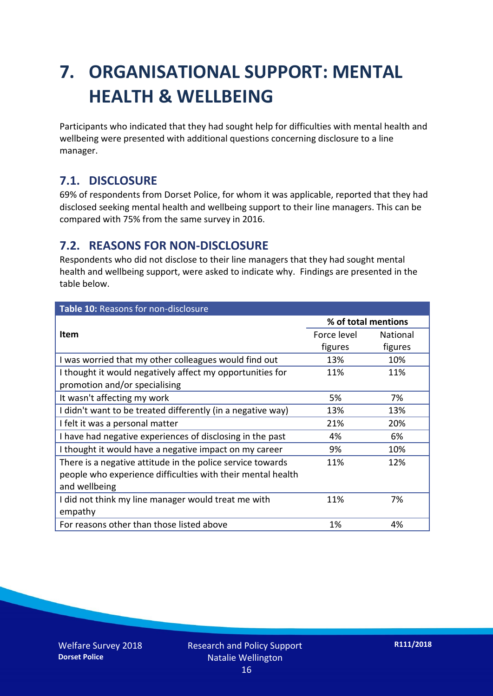## **7. ORGANISATIONAL SUPPORT: MENTAL HEALTH & WELLBEING**

Participants who indicated that they had sought help for difficulties with mental health and wellbeing were presented with additional questions concerning disclosure to a line manager.

### **7.1. DISCLOSURE**

69% of respondents from Dorset Police, for whom it was applicable, reported that they had disclosed seeking mental health and wellbeing support to their line managers. This can be compared with 75% from the same survey in 2016.

#### **7.2. REASONS FOR NON-DISCLOSURE**

Respondents who did not disclose to their line managers that they had sought mental health and wellbeing support, were asked to indicate why. Findings are presented in the table below.

| Table 10: Reasons for non-disclosure                        |                     |                 |
|-------------------------------------------------------------|---------------------|-----------------|
|                                                             | % of total mentions |                 |
| Item                                                        | Force level         | <b>National</b> |
|                                                             | figures             | figures         |
| I was worried that my other colleagues would find out       | 13%                 | 10%             |
| I thought it would negatively affect my opportunities for   | 11%                 | 11%             |
| promotion and/or specialising                               |                     |                 |
| It wasn't affecting my work                                 | 5%                  | 7%              |
| I didn't want to be treated differently (in a negative way) | 13%                 | 13%             |
| I felt it was a personal matter                             | 21%                 | 20%             |
| I have had negative experiences of disclosing in the past   | 4%                  | 6%              |
| I thought it would have a negative impact on my career      | 9%                  | 10%             |
| There is a negative attitude in the police service towards  | 11%                 | 12%             |
| people who experience difficulties with their mental health |                     |                 |
| and wellbeing                                               |                     |                 |
| I did not think my line manager would treat me with         | 11%                 | 7%              |
| empathy                                                     |                     |                 |
| For reasons other than those listed above                   | 1%                  | 4%              |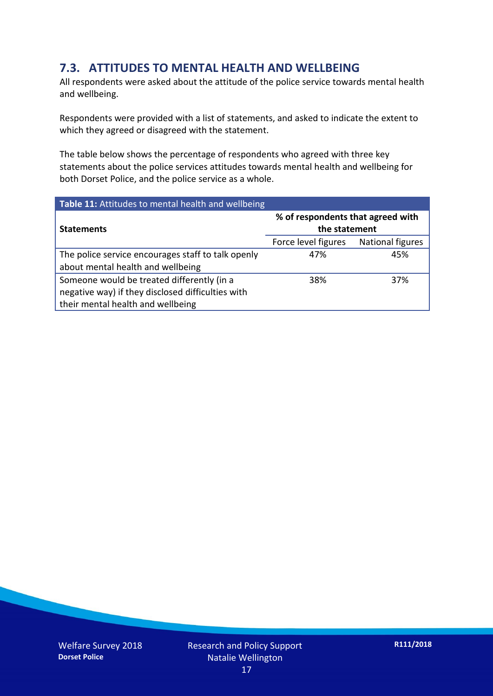### **7.3. ATTITUDES TO MENTAL HEALTH AND WELLBEING**

All respondents were asked about the attitude of the police service towards mental health and wellbeing.

Respondents were provided with a list of statements, and asked to indicate the extent to which they agreed or disagreed with the statement.

The table below shows the percentage of respondents who agreed with three key statements about the police services attitudes towards mental health and wellbeing for both Dorset Police, and the police service as a whole.

| Table 11: Attitudes to mental health and wellbeing |                                                    |                         |  |
|----------------------------------------------------|----------------------------------------------------|-------------------------|--|
| <b>Statements</b>                                  | % of respondents that agreed with<br>the statement |                         |  |
|                                                    | Force level figures                                | <b>National figures</b> |  |
| The police service encourages staff to talk openly | 47%                                                | 45%                     |  |
| about mental health and wellbeing                  |                                                    |                         |  |
| Someone would be treated differently (in a         | 38%                                                | 37%                     |  |
| negative way) if they disclosed difficulties with  |                                                    |                         |  |
| their mental health and wellbeing                  |                                                    |                         |  |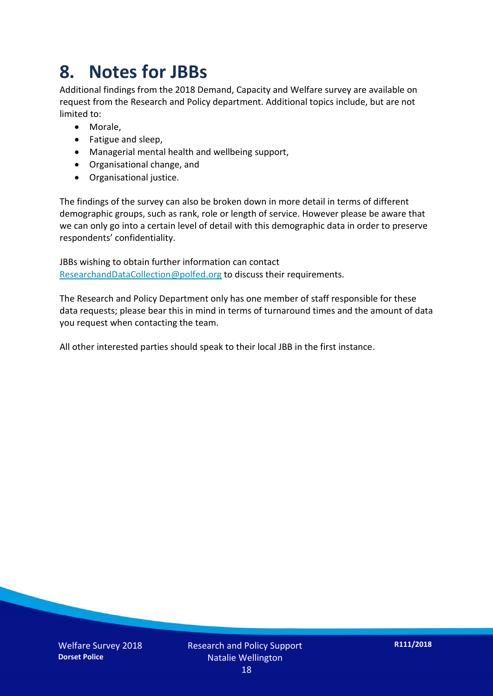## **8. Notes for JBBs**

Additional findings from the 2018 Demand, Capacity and Welfare survey are available on request from the Research and Policy department. Additional topics include, but are not limited to:

- Morale,
- Fatigue and sleep,
- Managerial mental health and wellbeing support,
- Organisational change, and
- Organisational justice.

The findings of the survey can also be broken down in more detail in terms of different demographic groups, such as rank, role or length of service. However please be aware that we can only go into a certain level of detail with this demographic data in order to preserve respondents' confidentiality.

JBBs wishing to obtain further information can contact [ResearchandDataCollection@polfed.org](mailto:ResearchandDataCollection@polfed.org) to discuss their requirements.

The Research and Policy Department only has one member of staff responsible for these data requests; please bear this in mind in terms of turnaround times and the amount of data you request when contacting the team.

All other interested parties should speak to their local JBB in the first instance.